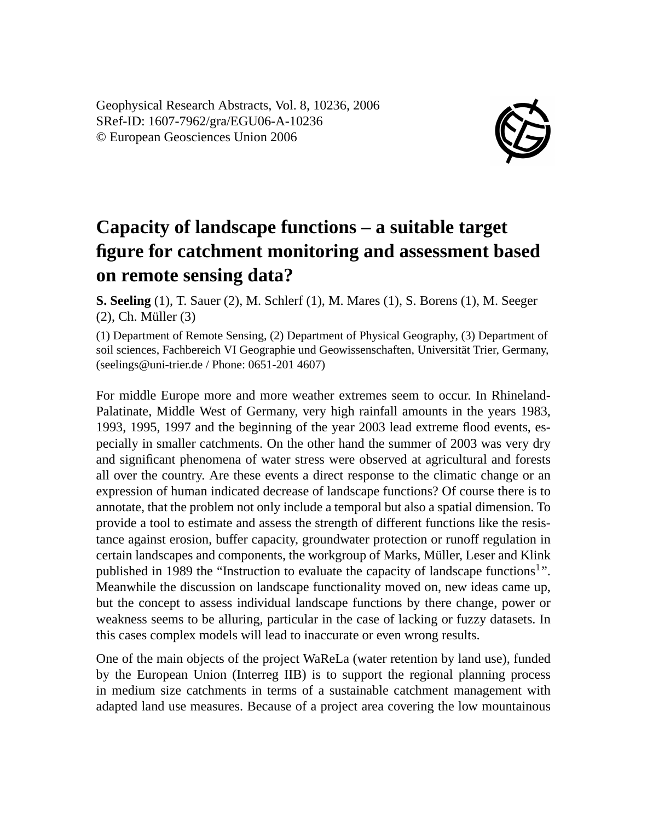Geophysical Research Abstracts, Vol. 8, 10236, 2006 SRef-ID: 1607-7962/gra/EGU06-A-10236 © European Geosciences Union 2006



## **Capacity of landscape functions – a suitable target figure for catchment monitoring and assessment based on remote sensing data?**

**S. Seeling** (1), T. Sauer (2), M. Schlerf (1), M. Mares (1), S. Borens (1), M. Seeger (2), Ch. Müller (3)

(1) Department of Remote Sensing, (2) Department of Physical Geography, (3) Department of soil sciences, Fachbereich VI Geographie und Geowissenschaften, Universität Trier, Germany, (seelings@uni-trier.de / Phone: 0651-201 4607)

For middle Europe more and more weather extremes seem to occur. In Rhineland-Palatinate, Middle West of Germany, very high rainfall amounts in the years 1983, 1993, 1995, 1997 and the beginning of the year 2003 lead extreme flood events, especially in smaller catchments. On the other hand the summer of 2003 was very dry and significant phenomena of water stress were observed at agricultural and forests all over the country. Are these events a direct response to the climatic change or an expression of human indicated decrease of landscape functions? Of course there is to annotate, that the problem not only include a temporal but also a spatial dimension. To provide a tool to estimate and assess the strength of different functions like the resistance against erosion, buffer capacity, groundwater protection or runoff regulation in certain landscapes and components, the workgroup of Marks, Müller, Leser and Klink published in 1989 the "Instruction to evaluate the capacity of landscape functions<sup>1</sup>". Meanwhile the discussion on landscape functionality moved on, new ideas came up, but the concept to assess individual landscape functions by there change, power or weakness seems to be alluring, particular in the case of lacking or fuzzy datasets. In this cases complex models will lead to inaccurate or even wrong results.

One of the main objects of the project WaReLa (water retention by land use), funded by the European Union (Interreg IIB) is to support the regional planning process in medium size catchments in terms of a sustainable catchment management with adapted land use measures. Because of a project area covering the low mountainous